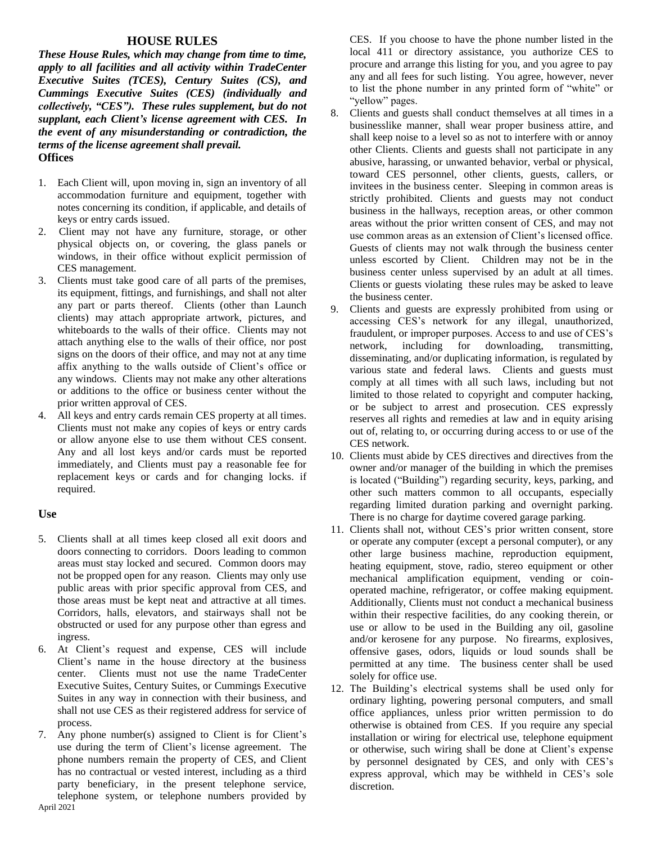# **HOUSE RULES**

*These House Rules, which may change from time to time, apply to all facilities and all activity within TradeCenter Executive Suites (TCES), Century Suites (CS), and Cummings Executive Suites (CES) (individually and collectively, "CES"). These rules supplement, but do not supplant, each Client's license agreement with CES. In the event of any misunderstanding or contradiction, the terms of the license agreement shall prevail.* **Offices**

- 1. Each Client will, upon moving in, sign an inventory of all accommodation furniture and equipment, together with notes concerning its condition, if applicable, and details of keys or entry cards issued.
- 2. Client may not have any furniture, storage, or other physical objects on, or covering, the glass panels or windows, in their office without explicit permission of CES management.
- 3. Clients must take good care of all parts of the premises, its equipment, fittings, and furnishings, and shall not alter any part or parts thereof. Clients (other than Launch clients) may attach appropriate artwork, pictures, and whiteboards to the walls of their office. Clients may not attach anything else to the walls of their office, nor post signs on the doors of their office, and may not at any time affix anything to the walls outside of Client's office or any windows. Clients may not make any other alterations or additions to the office or business center without the prior written approval of CES.
- 4. All keys and entry cards remain CES property at all times. Clients must not make any copies of keys or entry cards or allow anyone else to use them without CES consent. Any and all lost keys and/or cards must be reported immediately, and Clients must pay a reasonable fee for replacement keys or cards and for changing locks. if required.

#### **Use**

- 5. Clients shall at all times keep closed all exit doors and doors connecting to corridors. Doors leading to common areas must stay locked and secured. Common doors may not be propped open for any reason. Clients may only use public areas with prior specific approval from CES, and those areas must be kept neat and attractive at all times. Corridors, halls, elevators, and stairways shall not be obstructed or used for any purpose other than egress and ingress.
- 6. At Client's request and expense, CES will include Client's name in the house directory at the business center. Clients must not use the name TradeCenter Executive Suites, Century Suites, or Cummings Executive Suites in any way in connection with their business, and shall not use CES as their registered address for service of process.
- April 2021 7. Any phone number(s) assigned to Client is for Client's use during the term of Client's license agreement. The phone numbers remain the property of CES, and Client has no contractual or vested interest, including as a third party beneficiary, in the present telephone service, telephone system, or telephone numbers provided by

CES. If you choose to have the phone number listed in the local 411 or directory assistance, you authorize CES to procure and arrange this listing for you, and you agree to pay any and all fees for such listing. You agree, however, never to list the phone number in any printed form of "white" or "yellow" pages.

- 8. Clients and guests shall conduct themselves at all times in a businesslike manner, shall wear proper business attire, and shall keep noise to a level so as not to interfere with or annoy other Clients. Clients and guests shall not participate in any abusive, harassing, or unwanted behavior, verbal or physical, toward CES personnel, other clients, guests, callers, or invitees in the business center. Sleeping in common areas is strictly prohibited. Clients and guests may not conduct business in the hallways, reception areas, or other common areas without the prior written consent of CES, and may not use common areas as an extension of Client's licensed office. Guests of clients may not walk through the business center unless escorted by Client. Children may not be in the business center unless supervised by an adult at all times. Clients or guests violating these rules may be asked to leave the business center.
- 9. Clients and guests are expressly prohibited from using or accessing CES's network for any illegal, unauthorized, fraudulent, or improper purposes. Access to and use of CES's network, including for downloading, transmitting, disseminating, and/or duplicating information, is regulated by various state and federal laws. Clients and guests must comply at all times with all such laws, including but not limited to those related to copyright and computer hacking, or be subject to arrest and prosecution. CES expressly reserves all rights and remedies at law and in equity arising out of, relating to, or occurring during access to or use of the CES network.
- 10. Clients must abide by CES directives and directives from the owner and/or manager of the building in which the premises is located ("Building") regarding security, keys, parking, and other such matters common to all occupants, especially regarding limited duration parking and overnight parking. There is no charge for daytime covered garage parking.
- 11. Clients shall not, without CES's prior written consent, store or operate any computer (except a personal computer), or any other large business machine, reproduction equipment, heating equipment, stove, radio, stereo equipment or other mechanical amplification equipment, vending or coinoperated machine, refrigerator, or coffee making equipment. Additionally, Clients must not conduct a mechanical business within their respective facilities, do any cooking therein, or use or allow to be used in the Building any oil, gasoline and/or kerosene for any purpose. No firearms, explosives, offensive gases, odors, liquids or loud sounds shall be permitted at any time. The business center shall be used solely for office use.
- 12. The Building's electrical systems shall be used only for ordinary lighting, powering personal computers, and small office appliances, unless prior written permission to do otherwise is obtained from CES. If you require any special installation or wiring for electrical use, telephone equipment or otherwise, such wiring shall be done at Client's expense by personnel designated by CES, and only with CES's express approval, which may be withheld in CES's sole discretion.